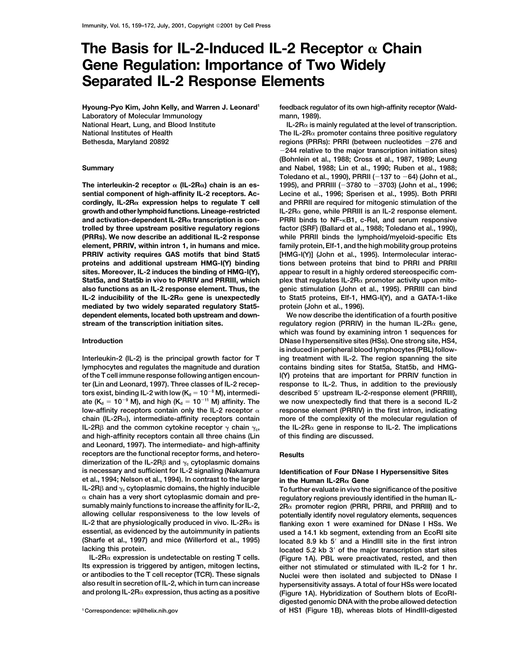# The Basis for IL-2-Induced IL-2 Receptor  $\alpha$  Chain **Gene Regulation: Importance of Two Widely Separated IL-2 Response Elements**

**Hyoung-Pyo Kim, John Kelly, and Warren J. Leonard1 Laboratory of Molecular Immunology National Heart, Lung, and Blood Institute National Institutes of Health Bethesda, Maryland 20892**

The interleukin-2 receptor  $\alpha$  (IL-2R $\alpha$ ) chain is an es**mediated by two widely separated regulatory Stat5- protein (John et al., 1996). dependent elements, located both upstream and down- We now describe the identification of a fourth positive**

**lymphocytes and regulates the magnitude and duration contains binding sites for Stat5a, Stat5b, and HMGof the T cell immune response following antigen encoun- I(Y) proteins that are important for PRRIV function in ter (Lin and Leonard, 1997). Three classes of IL-2 recep- response to IL-2. Thus, in addition to the previously**  $t$ ors exist, binding IL-2 with low (K $_{\rm d}$  = 10 $^{-8}$  M), intermedi-  $\hphantom{a}$  described 5' upstream IL-2-response element (PRRIII),  $\alpha$  (K<sub>d</sub> = 10<sup>-9</sup> M), and high (K<sub>d</sub> = 10<sup>-</sup> **low-affinity receptors contain only the IL-2 receptor response element (PRRIV) in the first intron, indicating chain (IL-2R), intermediate-affinity receptors contain more of the complexity of the molecular regulation of IL-2R** $\beta$  and the common cytokine receptor  $\gamma$  chain  $\gamma_c$ , the IL-2R $\alpha$  gene in response to IL-2. The implications **and high-affinity receptors contain all three chains (Lin of this finding are discussed. and Leonard, 1997). The intermediate- and high-affinity receptors are the functional receptor forms, and hetero- Results** dimerization of the IL-2R $\beta$  and  $\gamma_c$  cytoplasmic domains **is necessary and sufficient for IL-2 signaling (Nakamura Identification of Four DNase I Hypersensitive Sites et al., 1994; Nelson et al., 1994). In contrast to the larger in the Human IL-2R Gene** IL-2R $\beta$  and  $\gamma_c$  cytoplasmic domains, the highly inducible  $\blacksquare$  To further evaluate in vivo the significance of the positive **chain has a very short cytoplasmic domain and pre- regulatory regions previously identified in the human IL-**

**feedback regulator of its own high-affinity receptor (Waldmann, 1989).**

 $IL-2R<sub>\alpha</sub>$  is mainly regulated at the level of transcription. The IL-2R $\alpha$  promoter contains three positive regulatory regions (PRRs): PRRI (between nucleotides -276 and -**244 relative to the major transcription initiation sites) (Bohnlein et al., 1988; Cross et al., 1987, 1989; Leung Summary and Nabel, 1988; Lin et al., 1990; Ruben et al., 1988; Toledano et al., 1990), PRRII (**-**137 to** -**64) (John et al., 3780 to** -**3703) (John et al., 1996; sential component of high-affinity IL-2 receptors. Ac- Lecine et al., 1996; Sperisen et al., 1995). Both PRRI cordingly, IL-2R expression helps to regulate T cell and PRRII are required for mitogenic stimulation of the growth and other lymphoid functions. Lineage-restricted IL-2R gene, while PRRIII is an IL-2 response element. and activation-dependent IL-2R transcription is con- PRRI binds to NF-B1, c-Rel, and serum responsive trolled by three upstream positive regulatory regions factor (SRF) (Ballard et al., 1988; Toledano et al., 1990), (PRRs). We now describe an additional IL-2 response while PRRII binds the lymphoid/myeloid-specific Ets element, PRRIV, within intron 1, in humans and mice. family protein, Elf-1, and the high mobility group proteins PRRIV activity requires GAS motifs that bind Stat5 [HMG-I(Y)] (John et al., 1995). Intermolecular interacproteins and additional upstream HMG-I(Y) binding tions between proteins that bind to PRRI and PRRII sites. Moreover, IL-2 induces the binding of HMG-I(Y), appear to result in a highly ordered stereospecific com-**Stat5a, and Stat5b in vivo to PRRIV and PRRIII, which plex that regulates IL-2R<sub> $\alpha$ </sub> promoter activity upon mito**also functions as an IL-2 response element. Thus, the genic stimulation (John et al., 1995). PRRIII can bind IL-2 inducibility of the IL-2R gene is unexpectedly to Stat5 proteins, Elf-1, HMG-I(Y), and a GATA-1-like**

**stream of the transcription initiation sites. regulatory region (PRRIV) in the human IL-2R gene, which was found by examining intron 1 sequences for Introduction DNase I hypersensitive sites (HSs). One strong site, HS4, is induced in peripheral blood lymphocytes (PBL) follow-Interleukin-2 (IL-2) is the principal growth factor for T ing treatment with IL-2. The region spanning the site** we now unexpectedly find that there is a second IL-2

**sumably mainly functions to increase the affinity for IL-2, 2R promoter region (PRRI, PRRII, and PRRIII) and to allowing cellular responsiveness to the low levels of potentially identify novel regulatory elements, sequences IL-2 that are physiologically produced in vivo. IL-2Rα is** flanking exon 1 were examined for DNase I HSs. We **essential, as evidenced by the autoimmunity in patients used a 14.1 kb segment, extending from an EcoRI site (Sharfe et al., 1997) and mice (Willerford et al., 1995) located 8.9 kb 5 and a HindIII site in the first intron** located 5.2 kb 3<sup>'</sup> of the major transcription start sites IL-2Rα expression is undetectable on resting T cells. (Figure 1A). PBL were preactivated, rested, and then<br>Its expression is triggered by antigen, mitogen lectins, either not stimulated or stimulated with II-2 for 1 hr **Its expression is triggered by antigen, mitogen lectins, either not stimulated or stimulated with IL-2 for 1 hr. or antibodies to the T cell receptor (TCR). These signals Nuclei were then isolated and subjected to DNase I also result in secretion of IL-2, which in turn can increase hypersensitivity assays. A total of four HSs were located (Figure 1A). Hybridization of Southern blots of EcoRIdigested genomic DNA with the probe allowed detection <sup>1</sup> Correspondence: wjl@helix.nih.gov of HS1 (Figure 1B), whereas blots of HindIII-digested**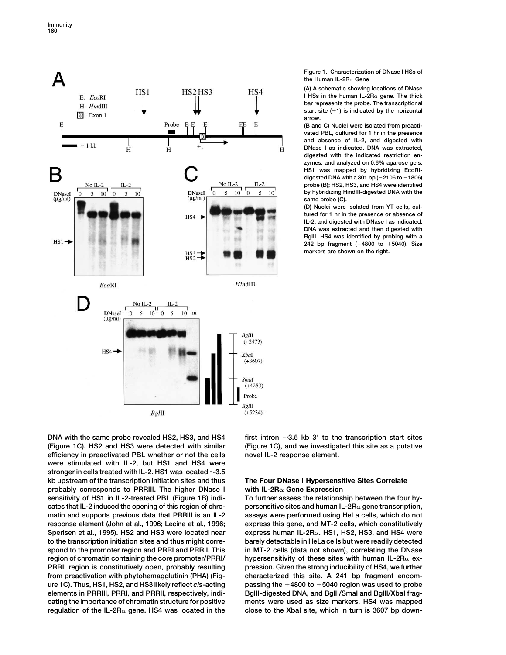

**Figure 1. Characterization of DNase I HSs of the Human IL-2R Gene**

**(A) A schematic showing locations of DNase I HSs in the human IL-2R**α gene. The thick **bar represents the probe. The transcriptional start site (1) is indicated by the horizontal arrow.**

**(B and C) Nuclei were isolated from preactivated PBL, cultured for 1 hr in the presence and absence of IL-2, and digested with DNase I as indicated. DNA was extracted, digested with the indicated restriction enzymes, and analyzed on 0.6% agarose gels. HS1 was mapped by hybridizing EcoRIdigested DNA with a 301 bp (**-**2106 to** -**1806) probe (B); HS2, HS3, and HS4 were identified by hybridizing HindIII-digested DNA with the same probe (C).**

**(D) Nuclei were isolated from YT cells, cultured for 1 hr in the presence or absence of IL-2, and digested with DNase I as indicated. DNA was extracted and then digested with BglII. HS4 was identified by probing with a 242 bp fragment (4800 to 5040). Size markers are shown on the right.**

**DNA with the same probe revealed HS2, HS3, and HS4 first intron 3.5 kb 3 to the transcription start sites (Figure 1C). HS2 and HS3 were detected with similar (Figure 1C), and we investigated this site as a putative efficiency in preactivated PBL whether or not the cells novel IL-2 response element. were stimulated with IL-2, but HS1 and HS4 were stronger in cells treated with IL-2. HS1 was located 3.5 kb upstream of the transcription initiation sites and thus The Four DNase I Hypersensitive Sites Correlate probably corresponds to PRRIII. The higher DNase I with IL-2R Gene Expression sensitivity of HS1 in IL-2-treated PBL (Figure 1B) indi- To further assess the relationship between the four hycates that IL-2 induced the opening of this region of chro- persensitive sites and human IL-2R gene transcription, matin and supports previous data that PRRIII is an IL-2 assays were performed using HeLa cells, which do not response element (John et al., 1996; Lecine et al., 1996; express this gene, and MT-2 cells, which constitutively Sperisen et al., 1995). HS2 and HS3 were located near express human IL-2R. HS1, HS2, HS3, and HS4 were to the transcription initiation sites and thus might corre- barely detectable in HeLa cells but were readily detected spond to the promoter region and PRRI and PRRII. This in MT-2 cells (data not shown), correlating the DNase region of chromatin containing the core promoter/PRRI/ hypersensitivity of these sites with human IL-2R ex-PRRII region is constitutively open, probably resulting pression. Given the strong inducibility of HS4, we further from preactivation with phytohemagglutinin (PHA) (Fig- characterized this site. A 241 bp fragment encomure 1C). Thus, HS1, HS2, and HS3 likely reflect** *cis***-acting passing the 4800 to 5040 region was used to probe elements in PRRIII, PRRI, and PRRII, respectively, indi- BglII-digested DNA, and BglII/SmaI and BglII/XbaI fragcating the importance of chromatin structure for positive ments were used as size markers. HS4 was mapped**

**regulation of the IL-2R gene. HS4 was located in the close to the XbaI site, which in turn is 3607 bp down-**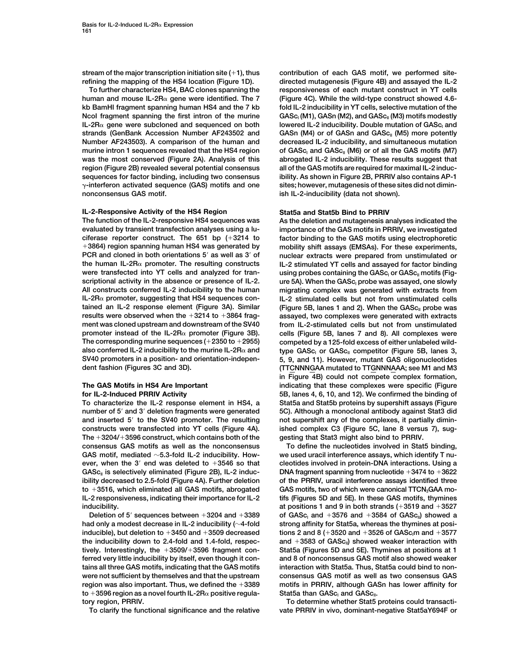human and mouse IL-2R<sub> $\alpha$ </sub> gene were identified. The 7 (Figure 4C). While the wild-type construct showed 4.6**kb BamHI fragment spanning human HS4 and the 7 kb fold IL-2 inducibility in YT cells, selective mutation of the** Ncol fragment spanning the first intron of the murine GASc<sub>I</sub> (M1), GASn (M2), and GASc<sub>II</sub> (M3) motifs modestly  $IL-2R\alpha$  gene were subcloned and sequenced on both lowered IL-2 inducibility. Double mutation of GASc<sub>I</sub> and **strands (GenBank Accession Number AF243502 and GASn (M4) or of GASn and GASc<sub>II</sub> (M5) more potently Number AF243503). A comparison of the human and decreased IL-2 inducibility, and simultaneous mutation nurine intron 1 sequences revealed that the HS4 region** of GASc<sub>I</sub> and GASc<sub>I</sub> (M6) or of all the GAS motifs (M7) was the most conserved (Figure 2A). Analysis of this abrogated IL-2 inducibility. These results suggest that **region (Figure 2B) revealed several potential consensus all of the GAS motifs are required for maximal IL-2 inducsequences for factor binding, including two consensus ibility. As shown in Figure 2B, PRRIV also contains AP-1 -interferon activated sequence (GAS) motifs and one sites; however, mutagenesis of these sites did not diminnonconsensus GAS motif. ish IL-2-inducibility (data not shown).** 

### **IL-2-Responsive Activity of the HS4 Region Stat5a and Stat5b Bind to PRRIV**

**The function of the IL-2-responsive HS4 sequences was As the deletion and mutagenesis analyses indicated the evaluated by transient transfection analyses using a lu- importance of the GAS motifs in PRRIV, we investigated ciferase reporter construct. The 651 bp (3214 to factor binding to the GAS motifs using electrophoretic 3864) region spanning human HS4 was generated by mobility shift assays (EMSAs). For these experiments, PCR and cloned in both orientations 5 as well as 3 of nuclear extracts were prepared from unstimulated or the human IL-2R promoter. The resulting constructs IL-2 stimulated YT cells and assayed for factor binding** were transfected into YT cells and analyzed for tran-<br>
scriptional activity in the absence or presence of IL-2. ure 5A). When the GASc<sub>I</sub> probe was assayed, one slowly **scriptional activity in the absence or presence of IL-2. ure 5A). When the GASc<sub>I</sub> probe was assayed, one slowly All constructs conferred IL-2 inducibility to the human migrating complex was generated with extracts from IL-2R promoter, suggesting that HS4 sequences con- IL-2 stimulated cells but not from unstimulated cells tained an IL-2 response element (Figure 3A). Similar** (Figure 5B, lanes 1 and 2). When the GASc<sub>II</sub> probe was **results were observed when the 3214 to 3864 frag- assayed, two complexes were generated with extracts ment was cloned upstream and downstream of the SV40 from IL-2-stimulated cells but not from unstimulated promoter instead of the IL-2R promoter (Figure 3B). cells (Figure 5B, lanes 7 and 8). All complexes were The corresponding murine sequences (2350 to 2955) competed by a 125-fold excess of either unlabeled wildalso conferred IL-2 inducibility to the murine IL-2Rα and type GASc<sub>I</sub> or GASc<sub>II</sub> competitor (Figure 5B, lanes 3, SV40 promoters in a position- and orientation-indepen- 5, 9, and 11). However, mutant GAS oligonucleotides**

**To characterize the IL-2 response element in HS4, a Stat5a and Stat5b proteins by supershift assays (Figure number of 5 and 3 deletion fragments were generated 5C). Although a monoclonal antibody against Stat3 did and inserted 5 to the SV40 promoter. The resulting not supershift any of the complexes, it partially diminconstructs were transfected into YT cells (Figure 4A). ished complex C3 (Figure 5C, lane 8 versus 7), sug-The 3204/3596 construct, which contains both of the gesting that Stat3 might also bind to PRRIV. consensus GAS motifs as well as the nonconsensus To define the nucleotides involved in Stat5 binding, GAS motif, mediated 5.3-fold IL-2 inducibility. How- we used uracil interference assays, which identify T nuever, when the 3 end was deleted to 3546 so that cleotides involved in protein-DNA interactions. Using a** GASc<sub>II</sub> is selectively eliminated (Figure 2B), IL-2 induc-<br>
DNA fragment spanning from nucleotide +3474 to +3622 **ibility decreased to 2.5-fold (Figure 4A). Further deletion of the PRRIV, uracil interference assays identified three** to +3516, which eliminated all GAS motifs, abrogated GAS motifs, two of which were canonical TTCN<sub>3</sub>GAA mo-**IL-2 responsiveness, indicating their importance for IL-2 tifs (Figures 5D and 5E). In these GAS motifs, thymines inducibility. at positions 1 and 9 in both strands (3519 and 3527**

had only a modest decrease in IL-2 inducibility ( $\sim$ 4-fold strong affinity for Stat5a, whereas the thymines at posi**inducible), but deletion to**  $+3450$  and  $+3509$  decreased tions 2 and 8 ( $+3520$  and  $+3526$  of GASc<sub>I</sub>m and  $+3577$ **and 3583 of GAScII the inducibility down to 2.4-fold and 1.4-fold, respec- ) showed weaker interaction with tively. Interestingly, the 3509/3596 fragment con- Stat5a (Figures 5D and 5E). Thymines at positions at 1 ferred very little inducibility by itself, even though it con- and 8 of nonconsensus GAS motif also showed weaker tains all three GAS motifs, indicating that the GAS motifs interaction with Stat5a. Thus, Stat5a could bind to nonwere not sufficient by themselves and that the upstream consensus GAS motif as well as two consensus GAS region was also important. Thus, we defined the 3389 motifs in PRRIV, although GASn has lower affinity for**  $\tan 3596$  region as a novel fourth IL-2R $\alpha$  positive regula-<br>Stat5a than GASc<sub>I</sub> and GASc<sub>II</sub>. **tory region, PRRIV. To determine whether Stat5 proteins could transacti-**

**stream of the major transcription initiation site (1), thus contribution of each GAS motif, we performed siterefining the mapping of the HS4 location (Figure 1D). directed mutagenesis (Figure 4B) and assayed the IL-2 To further characterize HS4, BAC clones spanning the responsiveness of each mutant construct in YT cells**

migrating complex was generated with extracts from **dent fashion (Figures 3C and 3D). (TTCNNNGAA mutated to TTGNNNAAA; see M1 and M3 in Figure 4B) could not compete complex formation, The GAS Motifs in HS4 Are Important indicating that these complexes were specific (Figure for IL-2-Induced PRRIV Activity 5B, lanes 4, 6, 10, and 12). We confirmed the binding of**

**Deletion of 5<sup>***'***</sup> sequences between**  $+3204$  **and**  $+3389$  **of GASc<sub>I</sub> and**  $+3576$  **and**  $+3584$  **of GASc<sub>II</sub>) showed a** 

**To clarify the functional significance and the relative vate PRRIV in vivo, dominant-negative Stat5aY694F or**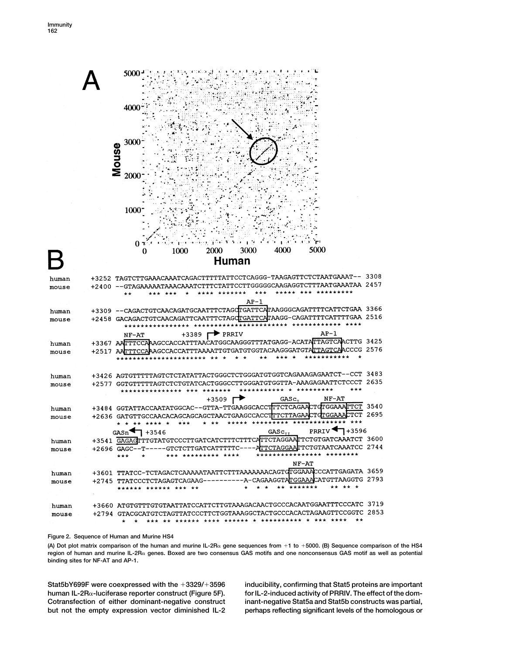|                |         | 5000<br>4000<br>30 <sub>0</sub><br>Mouse<br>2000<br>1000                                                                                           |
|----------------|---------|----------------------------------------------------------------------------------------------------------------------------------------------------|
|                |         | 5000<br>2000<br>3000<br>4000<br>1000<br>U                                                                                                          |
|                |         | Human                                                                                                                                              |
|                |         |                                                                                                                                                    |
| human          |         | +3252 TAGTCTTGAAACAAATCAGACTTTTTATTCCTCAGGG-TAAGAGTTCTCTAATGAAAT-- 3308<br>TATTCCTTGGGGGCAAGAGGTCTTTAATGAAATAA 2457                                |
| mouse          |         | $+2400 - -$ GTAGAAAA                                                                                                                               |
|                |         | AP-1                                                                                                                                               |
| human          |         | +3309 -- CAGACTGTCAACAGATGCAATTTCTAGQTGATTCATAAGGGCAGATTTTCATTCTGAA 3366                                                                           |
| mouse          |         | TTTGAA 2516<br>TAGOTGATTCA<br>+2458 GACAGACTGTCAAC                                                                                                 |
|                |         | $\blacktriangleright$ PRRIV<br>AP-1<br>+3389 M<br>NF-AT                                                                                            |
| human          |         | +3367 AATTTCCAAAGCCACCATTTAACATGGCAAGGGTTTATGAGG-ACATATTAGTCAACTTG 3425<br>CCG 2576<br>AATTGTGATGTGGTACAAGGGATG                                    |
| mouse          | +2517 A |                                                                                                                                                    |
| human          |         | +3426 AGTGTTTTTAGTCTCTATATTACTGGGCTCTGGGATGTGGTCAGAAAGAGAATCT--CCT 3483                                                                            |
| mouse          |         | 2635<br>ATTCTCCCT<br>+2577 GGTGTTTT<br>TGGGCCT                                                                                                     |
|                |         | *********<br>***                                                                                                                                   |
|                |         | NF-AT<br>+3509 『<br>${\tt GASC}_{\tau}$<br>+3484 GGTATTACCAATATGGCAC--GTTA-TTGAAGGCACCTTTCTCAGAACTGTGGAAATTCT<br>3540                              |
| human<br>mouse |         | 2695<br>+2636 GATGTTGCCAACACAGCAGCAGC<br>TAACTGAAGCCAC                                                                                             |
|                |         |                                                                                                                                                    |
|                |         | PRRIV $\P$ +3596<br>GASC <sub>TT</sub><br>$+3546$<br>GASn                                                                                          |
| human          |         | +3541 GAGAGTTTGTATGTCCCTTGATCATCTTTCTTTCATTCTAGGAATTCTGTGATCAAATCT 3600<br>+2696 GAGC--T-----GTCTCTTGATCATTTTTC----ATTCTAGGAATTCTGTAATCAAATCC 2744 |
| mouse          |         | **************** ********<br>*** ********* ****<br>$***$<br>$\star$                                                                                |
|                |         | NF-AT                                                                                                                                              |
| human          |         | +3601 TTATCC-TCTAGACTCAAAAATAATTCTTTAAAAAAACAGTGTGGAAACCCATTGAGATA 3659<br>+2745 TTATCCCTCTAGAGTCAGAAG----------A-CAGAAGGTATGGAAACATGTTAAGGTG 2793 |
| mouse          |         | ** ** *<br>** *******<br>$\star$ $\star$<br>****** ****** *** **<br>$\star$                                                                        |
|                |         |                                                                                                                                                    |
| human          |         | +3660 ATGTGTTTGTGTAATTATCCATTCTTGTAAAGACAACTGCCCACAATGGAATTTCCCATC 3719                                                                            |
| mouse          |         | +2794 GTACGCATGTCTAGTTATCCCTTCTGGTAAAGGCTACTGCCCACACTAGAAGTTCCGGTC 2853<br>$***$<br>$\star$<br>$\star$                                             |

## **Figure 2. Sequence of Human and Murine HS4**

**(A) Dot plot matrix comparison of the human and murine IL-2R gene sequences from 1 to 5000. (B) Sequence comparison of the HS4** region of human and murine IL-2Rα genes. Boxed are two consensus GAS motifs and one nonconsensus GAS motif as well as potential **binding sites for NF-AT and AP-1.**

**Stat5bY699F were coexpressed with the 3329/3596 inducibility, confirming that Stat5 proteins are important human IL-2R-luciferase reporter construct (Figure 5F). for IL-2-induced activity of PRRIV. The effect of the dom-Cotransfection of either dominant-negative construct inant-negative Stat5a and Stat5b constructs was partial, but not the empty expression vector diminished IL-2 perhaps reflecting significant levels of the homologous or**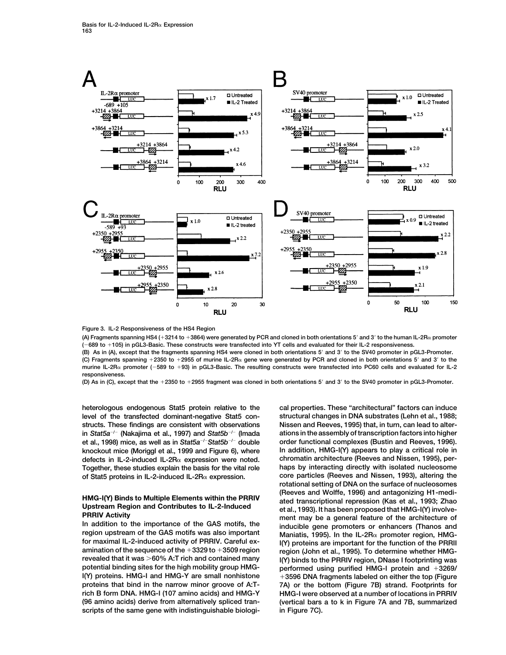

**Figure 3. IL-2 Responsiveness of the HS4 Region**

**(A) Fragments spanning HS4 (3214 to 3864) were generated by PCR and cloned in both orientations 5 and 3 to the human IL-2R promoter (**-**689 to 105) in pGL3-Basic. These constructs were transfected into YT cells and evaluated for their IL-2 responsiveness.**

**(B) As in (A), except that the fragments spanning HS4 were cloned in both orientations 5 and 3 to the SV40 promoter in pGL3-Promoter. (C) Fragments spanning 2350 to 2955 of murine IL-2R gene were generated by PCR and cloned in both orientations 5 and 3 to the** murine IL-2R<sub>«</sub> promoter (-589 to +93) in pGL3-Basic. The resulting constructs were transfected into PC60 cells and evaluated for IL-2 **responsiveness.**

**(D) As in (C), except that the 2350 to 2955 fragment was cloned in both orientations 5 and 3 to the SV40 promoter in pGL3-Promoter.**

**heterologous endogenous Stat5 protein relative to the cal properties. These "architectural" factors can induce level of the transfected dominant-negative Stat5 con- structural changes in DNA substrates (Lehn et al., 1988; structs. These findings are consistent with observations Nissen and Reeves, 1995) that, in turn, can lead to alter-***/*- **(Nakajima et al., 1997) and** *Stat5b*-*/*- **(Imada** et al., 1998) mice, as well as in *Stat5a<sup>–⊢</sup> Stat5b<sup>–/ –</sup> double order functional complexes (Bustin and Reeves, 1996).* **knockout mice (Moriggl et al., 1999 and Figure 6), where In addition, HMG-I(Y) appears to play a critical role in defects in IL-2-induced IL-2R expression were noted. chromatin architecture (Reeves and Nissen, 1995), per-Together, these studies explain the basis for the vital role haps by interacting directly with isolated nucleosome of Stat5 proteins in IL-2-induced IL-2Rα expression.** 

**amination of the sequence of the 3329 to 3509 region region (John et al., 1995). To determine whether HMGrevealed that it was 60% A:T rich and contained many I(Y) binds to the PRRIV region, DNase I footprinting was I(Y) proteins. HMG-I and HMG-Y are small nonhistone 3596 DNA fragments labeled on either the top (Figure proteins that bind in the narrow minor groove of A:T- 7A) or the bottom (Figure 7B) strand. Footprints for rich B form DNA. HMG-I (107 amino acids) and HMG-Y HMG-I were observed at a number of locations in PRRIV (96 amino acids) derive from alternatively spliced tran- (vertical bars a to k in Figure 7A and 7B, summarized scripts of the same gene with indistinguishable biologi- in Figure 7C).**

**in** *Stat5a* **ations in the assembly of transcription factors into higher rotational setting of DNA on the surface of nucleosomes** HMG-I(Y) Binds to Multiple Elements within the PRRIV<br>
Upstream Region and Contributes to IL-2-Induced<br>
PRRIV Activity<br>
In addition to the importance of the GAS motifs, the<br>
region upstream of the GAS motifs was also impor **performed using purified HMG-I protein and +3269/**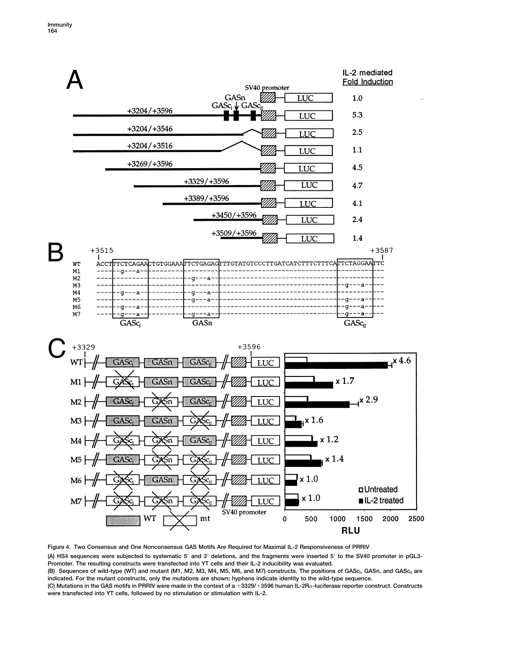

**Figure 4. Two Consensus and One Nonconsensus GAS Motifs Are Required for Maximal IL-2 Responsiveness of PRRIV (A) HS4 sequences were subjected to systematic 5 and 3 deletions, and the fragments were inserted 5 to the SV40 promoter in pGL3- Promoter. The resulting constructs were transfected into YT cells and their IL-2 inducibility was evaluated.** (B) Sequences of wild-type (WT) and mutant (M1, M2, M3, M4, M5, M6, and M7) constructs. The positions of GASc<sub>I</sub>, GASn, and GASc<sub>II</sub> are **indicated. For the mutant constructs, only the mutations are shown; hyphens indicate identity to the wild-type sequence. (C) Mutations in the GAS motifs in PRRIV were made in the context of a 3329/3596 human IL-2R-luciferase reporter construct. Constructs were transfected into YT cells, followed by no stimulation or stimulation with IL-2.**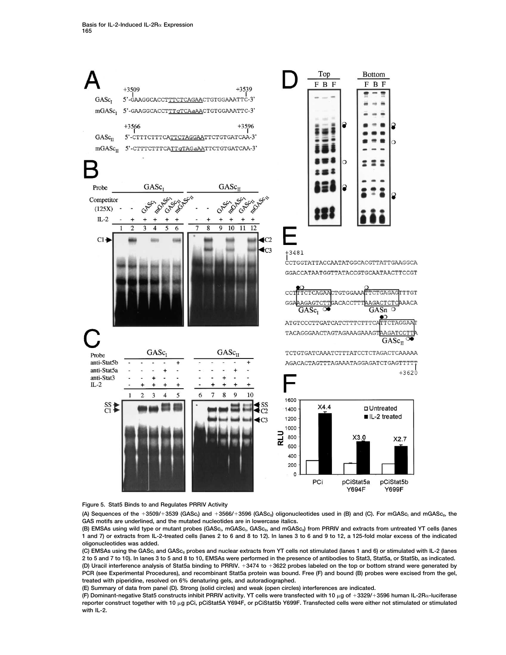

**Figure 5. Stat5 Binds to and Regulates PRRIV Activity**

(A) Sequences of the +3509/+3539 (GASc<sub>i</sub>) and +3566/+3596 (GASc<sub>il</sub>) oligonucleotides used in (B) and (C). For mGASc<sub>i</sub> and mGASc<sub>il</sub>, the **GAS motifs are underlined, and the mutated nucleotides are in lowercase italics.**

(B) EMSAs using wild type or mutant probes (GASc<sub>i</sub>, mGASc<sub>i</sub>, GASc<sub>ii</sub>, and mGASc<sub>ii</sub>) from PRRIV and extracts from untreated YT cells (lanes **1 and 7) or extracts from IL-2-treated cells (lanes 2 to 6 and 8 to 12). In lanes 3 to 6 and 9 to 12, a 125-fold molar excess of the indicated oligonucleotides was added.**

(C) EMSAs using the GASc<sub>i</sub> and GASc<sub>ii</sub> probes and nuclear extracts from YT cells not stimulated (lanes 1 and 6) or stimulated with IL-2 (lanes **2 to 5 and 7 to 10). In lanes 3 to 5 and 8 to 10, EMSAs were performed in the presence of antibodies to Stat3, Stat5a, or Stat5b, as indicated. (D) Uracil interference analysis of Stat5a binding to PRRIV. 3474 to 3622 probes labeled on the top or bottom strand were generated by PCR (see Experimental Procedures), and recombinant Stat5a protein was bound. Free (F) and bound (B) probes were excised from the gel, treated with piperidine, resolved on 6% denaturing gels, and autoradiographed.**

**(E) Summary of data from panel (D). Strong (solid circles) and weak (open circles) interferences are indicated.**

**(F) Dominant-negative Stat5 constructs inhibit PRRIV activity. YT cells were transfected with 10 g of 3329/3596 human IL-2R-luciferase reporter construct together with 10 g pCi, pCiStat5A Y694F, or pCiStat5b Y699F. Transfected cells were either not stimulated or stimulated with IL-2.**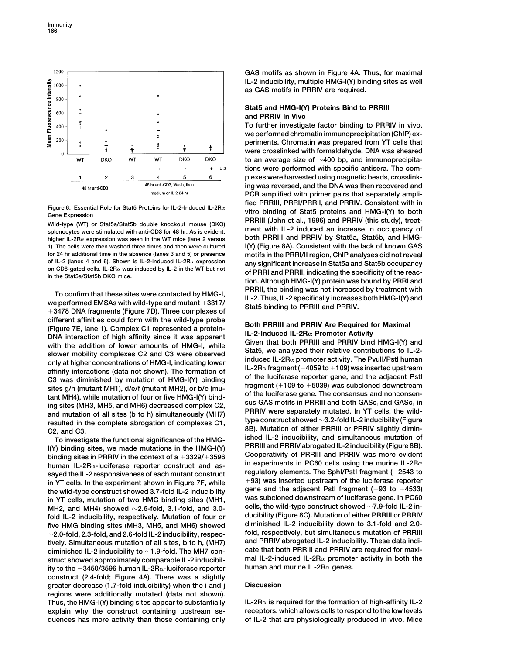

**higher IL-2R expression was seen in the WT mice (lane 2 versus both PRRIII and PRRIV by Stat5a, Stat5b, and HMG-1). The cells were then washed three times and then were cultured I(Y) (Figure 8A). Consistent with the lack of known GAS for 24 hr additional time in the absence (lanes 3 and 5) or presence motifs in the PRRI/II region, ChIP analyses did not reveal**

different affinities could form with the wild-type probe<br>
(Figure 7E, lane 1). Complex C1 represented a protein-<br>
DNA interaction of high affinity since it was apparent<br>
with the addition of lower amounts of HMG-I, while<br>

human IL-2Rα-luciferase reporter construct and as-<br>sayed the IL-2 responsiveness of each mutant construct regulatory elements. The Sphl/Pstl fragment (-2543 to sayed the IL-2 responsiveness of each mutant construct<br>in YT cells. In the experiment shown in Figure 7F, while<br>the wild-type construct showed 3.7-fold IL-2 inducibility<br>in YT cells, mutation of two HMG binding sites (MH1 MH2, and MH4) showed ∼2.6-fold, 3.1-fold, and 3.0-<br>**19.4-fold IL-2 inducibility respectively, Mutation of four or and ducibility (Figure 8C). Mutation of either PRRIII or PRRIV fold IL-2 inducibility, respectively. Mutation of four or ducibility (Figure 8C). Mutation of either PRRIII or PRRIV** five HMG binding sites (MH3, MH5, and MH6) showed **2.0-fold, 2.3-fold, and 2.6-fold IL-2 inducibility, respec- fold, respectively, but simultaneous mutation of PRRIII and PRRIV abrogated IL-2 inducibility. These data indi- tively. Simultaneous mutation of all sites, b to h, (MH7) diminished IL-2 inducibility to 1.9-fold. The MH7 con- cate that both PRRIII and PRRIV are required for maxistruct showed approximately comparable IL-2 inducibil- mal IL-2-induced IL-2R** a promote<br>ity to the +3450/3596 human II -2R<sub>0</sub>-luciferase reporter buman and murine IL-2R a genes. **human and murine IL-2R genes. ity to the 3450/3596 human IL-2R-luciferase reporter construct (2.4-fold; Figure 4A). There was a slightly greater decrease (1.7-fold inducibility) when the i and j Discussion regions were additionally mutated (data not shown).** Thus, the HMG-I(Y) binding sites appear to substantially  $I = 2R\alpha$  is required for the formation of high-affinity IL-2 **explain why the construct containing upstream se- receptors, which allows cells to respond to the low levels quences has more activity than those containing only of IL-2 that are physiologically produced in vivo. Mice**

**GAS motifs as shown in Figure 4A. Thus, for maximal IL-2 inducibility, multiple HMG-I(Y) binding sites as well as GAS motifs in PRRIV are required.**

# **Stat5 and HMG-I(Y) Proteins Bind to PRRIII and PRRIV In Vivo**

**To further investigate factor binding to PRRIV in vivo, we performed chromatin immunoprecipitation (ChIP) experiments. Chromatin was prepared from YT cells that were crosslinked with formaldehyde. DNA was sheared to an average size of 400 bp, and immunoprecipitations were performed with specific antisera. The complexes were harvested using magnetic beads, crosslinking was reversed, and the DNA was then recovered and PCR amplified with primer pairs that separately ampli-**Figure 6. Essential Role for Stat5 Proteins for IL-2-Induced IL-2R $\alpha$  fied PRRIII, PRRI/PRRII, and PRRIV. Consistent with in<br>Gene Expression expression wild-type (WT) or Stat5a/Stat5b double knockout mouse (DKO)<br>Wild-typ of IL-2 (lanes 4 and 6). Shown is IL-2-induced IL-2H $\alpha$  expression<br>on CD8-gated cells. IL-2H $\alpha$  was induced by IL-2 in the WT but not<br>in the Stat5a/Stat5b DKO mice.<br>in the Stat5a/Stat5b DKO mice.<br>tion. Although HMG-I(Y) To confirm that these sites were contacted by HMG-I,<br>we performed EMSAs with wild-type and mutant +3317/<br>+3478 DNA fragments (Figure 7D). Three complexes of Stat5 binding to PRRIII and PRRIV.

affinity interactions (data not shown). The formation of<br>
C3 was diminished by mutation of HMG-I(Y) binding<br>
sites g/h (mutant MH1), d/e/f (mutant MH2), or b/c (mu-<br>
tant MH4), while mutation of our or five HMG-I(Y) bindi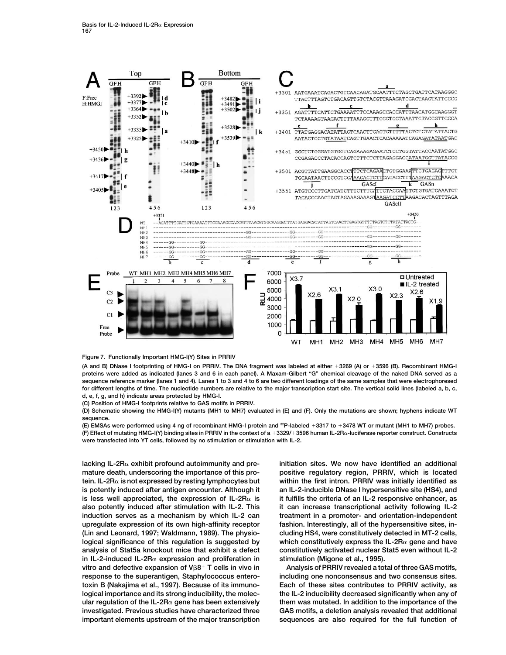

**Figure 7. Functionally Important HMG-I(Y) Sites in PRRIV**

**(A and B) DNase I footprinting of HMG-I on PRRIV. The DNA fragment was labeled at either 3269 (A) or 3596 (B). Recombinant HMG-I proteins were added as indicated (lanes 3 and 6 in each panel). A Maxam-Gilbert "G" chemical cleavage of the naked DNA served as a sequence reference marker (lanes 1 and 4). Lanes 1 to 3 and 4 to 6 are two different loadings of the same samples that were electrophoresed for different lengths of time. The nucleotide numbers are relative to the major transcription start site. The vertical solid lines (labeled a, b, c, d, e, f, g, and h) indicate areas protected by HMG-I.**

**(C) Position of HMG-I footprints relative to GAS motifs in PRRIV.**

**(D) Schematic showing the HMG-I(Y) mutants (MH1 to MH7) evaluated in (E) and (F). Only the mutations are shown; hyphens indicate WT sequence.**

**(E) EMSAs were performed using 4 ng of recombinant HMG-I protein and 32P-labeled 3317 to 3478 WT or mutant (MH1 to MH7) probes. (F) Effect of mutating HMG-I(Y) binding sites in PRRIV in the context of a 3329/3596 human IL-2R-luciferase reporter construct. Constructs were transfected into YT cells, followed by no stimulation or stimulation with IL-2.**

**lacking IL-2R exhibit profound autoimmunity and pre- initiation sites. We now have identified an additional mature death, underscoring the importance of this pro- positive regulatory region, PRRIV, which is located tein. IL-2R is not expressed by resting lymphocytes but within the first intron. PRRIV was initially identified as is potently induced after antigen encounter. Although it an IL-2-inducible DNase I hypersensitive site (HS4), and** is less well appreciated, the expression of IL-2R $\alpha$  is it fulfills the criteria of an IL-2 responsive enhancer, as **also potently induced after stimulation with IL-2. This it can increase transcriptional activity following IL-2 induction serves as a mechanism by which IL-2 can treatment in a promoter- and orientation-independent upregulate expression of its own high-affinity receptor fashion. Interestingly, all of the hypersensitive sites, in- (Lin and Leonard, 1997; Waldmann, 1989). The physio- cluding HS4, were constitutively detected in MT-2 cells,**  $logical$  significance of this regulation is suggested by which constitutively express the IL-2R $\alpha$  gene and have **analysis of Stat5a knockout mice that exhibit a defect constitutively activated nuclear Stat5 even without IL-2** in IL-2-induced IL-2R<sub> $\alpha$ </sub> expression and proliferation in stimulation (Migone et al., 1995). **vitro and defective expansion of V8 T cells in vivo in Analysis of PRRIV revealed a total of three GAS motifs, response to the superantigen, Staphylococcus entero- including one nonconsensus and two consensus sites. toxin B (Nakajima et al., 1997). Because of its immuno- Each of these sites contributes to PRRIV activity, as logical importance and its strong inducibility, the molec- the IL-2 inducibility decreased significantly when any of ular regulation of the IL-2R** $\alpha$  gene has been extensively them was mutated. In addition to the importance of the **investigated. Previous studies have characterized three GAS motifs, a deletion analysis revealed that additional important elements upstream of the major transcription sequences are also required for the full function of**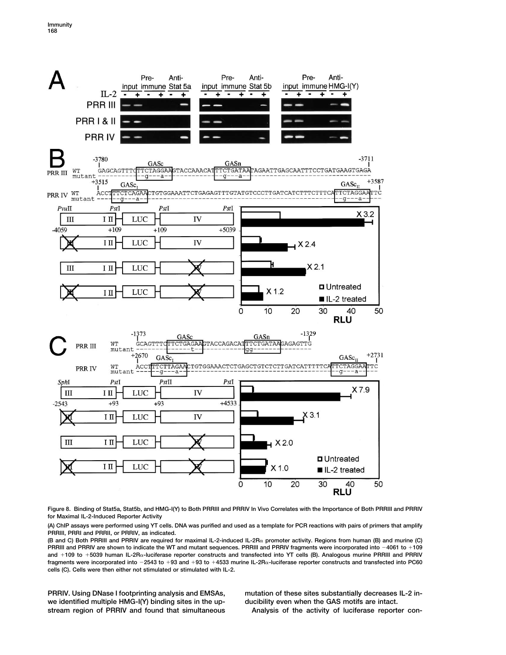

**Figure 8. Binding of Stat5a, Stat5b, and HMG-I(Y) to Both PRRIII and PRRIV In Vivo Correlates with the Importance of Both PRRIII and PRRIV for Maximal IL-2-Induced Reporter Activity**

**(A) ChIP assays were performed using YT cells. DNA was purified and used as a template for PCR reactions with pairs of primers that amplify PRRIII, PRRI and PRRII, or PRRIV, as indicated.**

**(B and C) Both PRRIII and PRRIV are required for maximal IL-2-induced IL-2R promoter activity. Regions from human (B) and murine (C)** PRRIII and PRRIV are shown to indicate the WT and mutant sequences. PRRIII and PRRIV fragments were incorporated into -4061 to +109 **and 109 to 5039 human IL-2R-luciferase reporter constructs and transfected into YT cells (B). Analogous murine PRRIII and PRRIV fragments were incorporated into** -**2543 to 93 and 93 to 4533 murine IL-2R-luciferase reporter constructs and transfected into PC60 cells (C). Cells were then either not stimulated or stimulated with IL-2.**

**we identified multiple HMG-I(Y) binding sites in the up- ducibility even when the GAS motifs are intact. stream region of PRRIV and found that simultaneous Analysis of the activity of luciferase reporter con-**

**PRRIV. Using DNase I footprinting analysis and EMSAs, mutation of these sites substantially decreases IL-2 in-**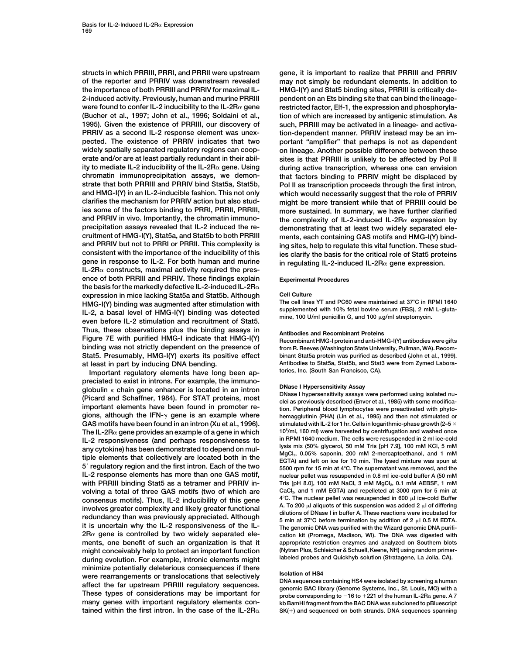**of the reporter and PRRIV was downstream revealed may not simply be redundant elements. In addition to the importance of both PRRIII and PRRIV for maximal IL- HMG-I(Y) and Stat5 binding sites, PRRIII is critically de-2-induced activity. Previously, human and murine PRRIII pendent on an Ets binding site that can bind the lineagewere found to confer IL-2 inducibility to the IL-2R gene restricted factor, Elf-1, the expression and phosphoryla- (Bucher et al., 1997; John et al., 1996; Soldaini et al., tion of which are increased by antigenic stimulation. As 1995). Given the existence of PRRIII, our discovery of such, PRRIII may be activated in a lineage- and activa-PRRIV as a second IL-2 response element was unex- tion-dependent manner. PRRIV instead may be an impected. The existence of PRRIV indicates that two portant "amplifier" that perhaps is not as dependent widely spatially separated regulatory regions can coop- on lineage. Another possible difference between these erate and/or are at least partially redundant in their abil- sites is that PRRIII is unlikely to be affected by Pol II ity to mediate IL-2 inducibility of the IL-2Rα gene. Using** during active transcription, whereas one can envision **chromatin immunoprecipitation assays, we demon- that factors binding to PRRIV might be displaced by strate that both PRRIII and PRRIV bind Stat5a, Stat5b, Pol II as transcription proceeds through the first intron, and HMG-I(Y) in an IL-2-inducible fashion. This not only which would necessarily suggest that the role of PRRIV clarifies the mechanism for PRRIV action but also stud- might be more transient while that of PRRIII could be ies some of the factors binding to PRRI, PRRII, PRRIII, more sustained. In summary, we have further clarified** and PRRIV in vivo. Importantly, the chromatin immuno-<br>precipitation assays revealed that IL-2 induced the re-<br>demonstrating that at least two widely separated ele**precipitation assays revealed that IL-2 induced the re- demonstrating that at least two widely separated elecruitment of HMG-I(Y), Stat5a, and Stat5b to both PRRIII ments, each containing GAS motifs and HMG-I(Y) bindand PRRIV but not to PRRI or PRRII. This complexity is ing sites, help to regulate this vital function. These studconsistent with the importance of the inducibility of this ies clarify the basis for the critical role of Stat5 proteins**  $IL-2R<sub>\alpha</sub>$  constructs, maximal activity required the pres**ence of both PRRIII and PRRIV. These findings explain Experimental Procedures the basis for the markedly defective IL-2-induced IL-2R expression in mice lacking Stat5a and Stat5b. Although Cell Culture HMG-I(Y) binding was augmented after stimulation with The cell lines YT and PC60 were maintained at 37C in RPMI 1640 IL-2, a basal level of HMG-I(Y) binding was detected** supplemented with 10% fetal bovine serum (FBS), 2 mm level of  $\frac{1}{2}$  mine, 100 U/ml penicillin G, and 100  $\mu$ g/ml streptomycin. even before IL-2 stimulation and recruitment of Stat5. **Thus, these observations plus the binding assays in Antibodies and Recombinant Proteins Figure 7E with purified HMG-I indicate that HMG-I(Y) Recombinant HMG-I protein and anti-HMG-I(Y) antibodies were gifts Stat5. Presumably, HMG-I(Y) exerts its positive effect binant Stat5a protein was purified as described (John et al., 1999).**

Important regulatory elements have long been appreciated to exist in introns. For example, the immuno-<br>globulin  $\kappa$  chain gene enhancer is located in an intron<br>(Picard and Schaffner, 1984). For STAT proteins, most<br>important elements have been found in promoter re-<br>g **GAS motifs have been found in an intron (Xu et al., 1996). stimulated with IL-2 for 1 hr. Cells in logarithmic-phase growth (2–5 The IL-2R**α gene provides an example of a gene in which  $\frac{10^5}{m}$ , 160 ml) were harvested by centrifugation and washed once<br>IL-2 responsiveness (and perhaps responsiveness to in RPMI 1640 medium. The cells were resusp IL-2 responsiveness (and perhaps responsiveness to<br>any cytokine) has been demonstrated to depend on mul-<br>tiple elements that collectively are located both in the<br>5' regulatory region and the first intron. Each of the two<br> **IL-2 response elements has more than one GAS motif, nuclear pellet was resuspended in 0.8 ml ice-cold buffer A (50 mM** with PRRIII binding Stat5 as a tetramer and PRRIV in-<br>volving a total of three GAS motifs (two of which are CaCl<sub>2</sub>, and 1 mM EGTA) and repelleted at 3000 rpm for 5 min at volving a total of three GAS motifs (two of which are consensus motifs). Thus, IL-2 inducibility of this gene involves greater complexity and likely greater functional<br>redundancy than was previously appreciated. Although  $\frac{37^{\circ}C \text{ before term in buffer A. These reactions were incubated for a  
tilions of DNase I in buffer A. These reactions were incubated for a  
5 min at 37°C before term in a  
the denominator DNA was purified with the Wizard genomic DNA purifi-$ **2R gene is controlled by two widely separated ele- cation kit (Promega, Madison, WI). The DNA was digested with ments, one benefit of such an organization is that it appropriate restriction enzymes and analyzed on Southern blots might conceivably help to protect an important function (Nytran Plus, Schleicher & Schuell, Keene, NH) using random primer**during evolution. For example, intronic elements might minimize potentially deleterious consequences if there<br>were rearrangements or translocations that selectively<br>affect the far upstream PRRIII regulatory sequences.<br>These types of considerations may be important for<br>These ty **many genes with important regulatory elements con- kb BamHI fragment from the BAC DNA was subcloned to pBluescript**

**structs in which PRRIII, PRRI, and PRRII were upstream gene, it is important to realize that PRRIII and PRRIV gene in response to IL-2. For both human and murine in regulating IL-2-induced IL-2R gene expression.**

from R. Reeves (Washington State University, Pullman, WA). Recom**at least in part by inducing DNA bending. Antibodies to Stat5a, Stat5b, and Stat3 were from Zymed Labora-**

hemagglutinin (PHA) (Lin et al., 1995) and then not stimulated or **4C. The nuclear pellet was resuspended in 600** A. To 200  $\mu$ l aliguots of this suspension was added 2  $\mu$ l of differing 5 min at 37°C before termination by addition of 2  $\mu$ I 0.5 M EDTA. The genomic DNA was purified with the Wizard genomic DNA purifi-

probe corresponding to  $-16$  to  $+221$  of the human IL-2R $\alpha$  gene. A 7 **tained within the first intron. In the case of the IL-2R** $\alpha$  **SK(+) and sequenced on both strands. DNA sequences spanning**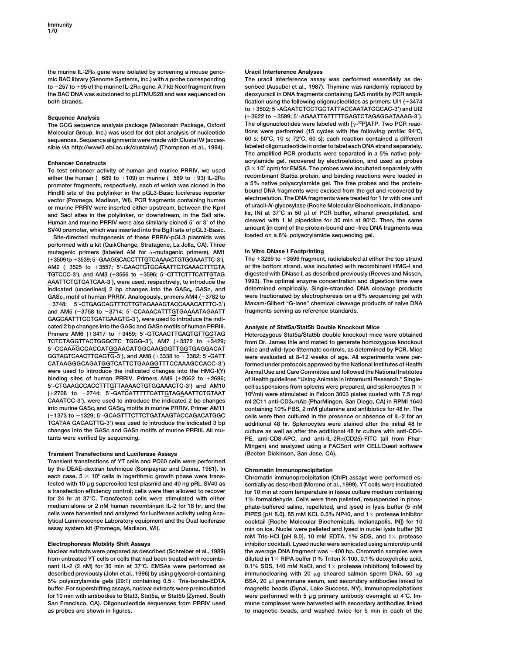**the murine IL-2R gene were isolated by screening a mouse geno- Uracil Interference Analyses mic BAC library (Genome Systems, Inc.) with a probe corresponding The uracil interference assay was performed essentially as de**to  $-257$  to  $+95$  of the murine IL-2R $\alpha$  gene. A 7 kb Ncol fragment from<br>the BAC DNA was subcloned to pLITMUS28 and was sequenced on

The GCG sequence analysis package (Wisconsin Package, Oxford The oligonucleotides were labeled with [ $\gamma$ <sup>-32</sup>P]ATP. Two PCR reac-<br>Molecular Group, Inc.) was used for dot plot analysis of pucleotide tions were performed (1 **Molecular Group, Inc.) was used for dot plot analysis of nucleotide tions were performed (15 cycles with the following profile: 94C, sequences. Sequence alignments were made with Clustal W (acces- 60 s; 50C, 10 s; 72C, 60 s); each reaction contained a different** sible via http://www2.ebi.ac.uk/clustalw/) (Thompson et al., 1994).

To test enhancer activity of human and murine PRRIV, we used<br>either the human (-689 to +109) or murine (-589 to +93) IL-2R<sub> $\alpha$ </sub><br>recombinant Stat5a protein, and binding reactions were loaded in<br>promoter framents respectiv either the human ( $-689$  to  $+109$ ) or murine ( $-589$  to  $+93$ ) IL-2R $\alpha$ either the human (-689 to +109) or murine (-589 to +93) IL-2R $\alpha$ <br>
promoter fragments, respectively, each of which was cloned in the<br>
HindIII site of the polylinker in the pGL3-Basic luciferase reporter<br>
HindIII site of t and Sacl sites in the polylinker, or downstream, in the Sall site.<br>
The Sacl site is, IN) at 37°C in 50  $\mu$  of PCR buffer, ethanol precipitated, and<br>
Human and murine PRRIV were also similarly cloned 5' or 3' of the clea

**performed with a kit (QuikChange, Stratagene, La Jolla, CA). Three** mutagenic primers (labeled AM for  $\alpha$ -mutagenic primers), AM1 **In Vitro DNase I Footprinting**<br>(+3509 to +3539; 5'-GAAGGCACCTTTGTCAAAACTGTGGAAATTC-3'), The +3269 to +3596 fragment, radiolabeled at either the top strand **(3509 to 3539; 5-GAAGGCACCTTTGTCAAAACTGTGGAAATTC-3), The 3269 to 3596 fragment, radiolabeled at either the top strand AM2 (3525 to 3557; 5-GAACTGTGGAAATTGTGAAAGTTTGTA or the bottom strand, was incubated with recombinant HMG-I and TGTCCC-3 digested with DNase I, as described previously (Reeves and Nissen, ), and AM3 (3566 to 3596; 5-CTTTCTTTCATTGTAG AAATTCTGTGATCAA-3), were used, respectively, to introduce the 1993). The optimal enzyme concentration and digestion time were** indicated (underlined) 2 bp changes into the GASc<sub>i</sub>, GASn, and determined empirically. Single-stranded DNA cleavage products<br>GASc<sub>il</sub> motif of human PRRIV. Analogously, primers AM4 (-3782 to were fractionated by electroph GASc<sub>"</sub> motif of human PRRIV. Analogously, primers AM4 (–3782 to state fractionated by electrophoresis on a 6% sequencing gel with -**3748; 5-CTGAGCAGTTTCTTGTAGAAAGTACCAAACATTTC-3) Maxam-Gilbert "G-lane" chemical cleavage products of naive DNA and AM5 (**-**3758 to** -**3714; 5-CCAAACATTTGTGAAAATAGAATT fragments serving as reference standards. GAGCAATTTCCTGATGAAGTG-3), were used to introduce the indicated 2 bp changes into the GASc and GASn motifs of human PRRIII. Analysis of Stat5a/Stat5b Double Knockout Mice Primers AM6 (3417 to 3459; 5-GTCAACTTGAGTGTTGGTAG Heterozygous Stat5a/Stat5b double knockout mice were obtained 5-CCAAAGCCACCATGGAACATGGCAAGGGTTGGTGAGGACAT mice and wild-type littermate controls, as determined by PCR. Mice CATAAGGGCAGATGGTCATTCTGAAGGTTTCCAAAGCCACC-3) formed under protocols approved by the National Institutes of Health were used to introduce the indicated changes into the HMG-I(Y) Animal Use and Care Committee and followed the National Institutes binding sites of human PRRIV. Primers AM9 (2662 to 2696; of Health guidelines "Using Animals in Intramural Research." Single-5-CTGAAGCCACCTTTGTTAAAACTGTGGAAACTC-3) and AM10 cell suspensions from spleens were prepared, and splenocytes (1 (2708 to 2744; 5-GATCATTTTTCATTGTAGAAATTCTGTAAT 106** CAAATCC-3'), were used to introduce the indicated 2 bp changes mil 2C11 anti-CD3∈mAb (PharMingen, San Diego, CA) in RPMI 1640<br>
into murine GASc<sub>i</sub> and GASc<sub>il</sub> motifs in murine PRRIV. Primer AM11 containing 10% FBS, 2 mM **(**-**1373 to** -**1329; 5-GCAGTTTCTTCTGATAAGTACCAGACATGGC cells were then cultured in the presence or absence of IL-2 for an TGATAA GAGAGTTG-3) was used to introduce the indicated 3 bp additional 48 hr. Splenocytes were stained after the initial 48 hr**

### **Transient Transfections and Luciferase Assays <b>(Becton Dickinson, San Jose, CA)**.

**Transient transfections of YT cells and PC60 cells were performed by the DEAE-dextran technique (Sompayrac and Danna, 1981). In Chromatin Immunoprecipitation** fected with 10  $\mu$ g supercoiled test plasmid and 40 ng pRL-SV40 as **g supercoiled test plasmid and 40 ng pRL-SV40 as sentially as described (Moreno et al., 1999). YT cells were incubated a transfection efficiency control; cells were then allowed to recover for 10 min at room temperature in tissue culture medium containing** medium alone or 2 nM human recombinant IL-2 for 18 hr, and the phate-buffered saline, repelleted, and lysed in lysis buffer (5 mM<br>cells were harvested and analyzed for luciferase activity using Ana-ppFFS [pH 8.0], 85 mM KC

**nant IL-2 (2 nM) for 30 min at 37C. EMSAs were performed as 0.1% SDS, 140 mM NaCl, and 1 protease inhibitors) followed by described previously (John et al., 1996) by using glycerol-containing immunoclearing with 20** 5% polyacrylamide gels (29:1) containing  $0.5 \times$  Tris-borate-EDTA **buffer. For supershifting assays, nuclear extracts were preincubated magnetic beads (Dynal, Lake Success, NY). Immunoprecipitations** for 10 min with antibodies to Stat3, Stat5a, or Stat5b (Zymed, South **San Francisco, CA). Oligonucleotide sequences from PRRIV used mune complexes were harvested with secondary antibodies linked as probes are shown in figures. to magnetic beads, and washed twice for 5 min in each of the**

scribed (Ausubel et al., 1987). Thymine was randomly replaced by deoxyuracil in DNA fragments containing GAS motifs by PCR ampli**both strands. fication using the following oligonucleotides as primers: UI1 (3474 to 3502; 5-AGAATCTCCTGGTATTACCAATATGGCAC-3) and UI2 Sequence Analysis (3622 to 3599; 5-AGAATTATTTTTGAGTCTAGAGGATAAAG-3). The amplified PCR products were separated in a 5% native polyacrylamide gel, recovered by electroelution, and used as probes**<br>To test enhancer cativity of human and muring PPPIV, we used  $(3 \times 10^5 \text{ cpm})$  for EMSA. The probes were incubated separately with SV40 promoter, which was inserted into the BgIII site of pGL3-Basic. SV40 promoter which was inserted into the BgIII site of pGL3-Basic. Site-directed mutagenesis of these PRRIV-pGL3 plasmids was loaded on a 6% polyacrylam

from Dr. James Ihle and mated to generate homozygous knockout were evaluated at 8-12 weeks of age. All experiments were per-**/ml) were stimulated in Falcon 3003 plates coated with 7.5 mg/ into murine GAScI and GAScII motifs in murine PRRIV. Primer AM11 containing 10% FBS, 2 mM glutamine and antibiotics for 48 hr. The** culture as well as after the additional 48 hr culture with anti-CD4**tants were verified by sequencing. PE, anti-CD8-APC, and anti-IL-2R(CD25)-FITC (all from Phar-Mingen) and analyzed using a FACSort with CELLQuest software**

**each case, 5 106 cells in logarithmic growth phase were trans- Chromatin immunoprecipitation (ChIP) assays were performed es-**1% formaldehyde. Cells were then pelleted, resuspended in phos-**PIPES [pH 8.0], 85 mM KCl, 0.5% NP40, and 1** $\times$  protease inhibitor **lytical Luminescence Laboratory equipment and the Dual luciferase cocktail [Roche Molecular Biochemicals, Indianapolis, IN]) for 10 assay system kit (Promega, Madison, WI). min on ice. Nuclei were pelleted and lysed in nuclei lysis buffer (50 mM Tris-HCl [pH 8.0], 10 mM EDTA, 1% SDS, and 1 protease Electrophoresis Mobility Shift Assays inhibitor cocktail). Lysed nuclei were sonicated using a microtip until Nuclear extracts were prepared as described (Schreiber et al., 1989) the average DNA fragment was 400 bp. Chromatin samples were filuted in 1 × RIPA buffer (1% Triton X-100, 0.1% deoxycholic acid, g sheared salmon sperm DNA, 50 g BSA, 20**  $\mu$ **, preimmune serum, and secondary antibodies linked to** were performed with 5 µg primary antibody overnight at 4°C. Im-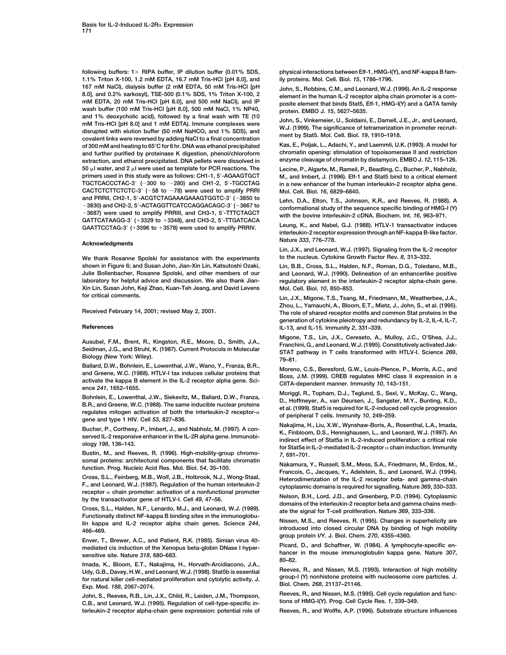**following buffers: 1 RIPA buffer, IP dilution buffer (0.01% SDS, physical interactions between Elf-1, HMG-I(Y), and NF-kappa B fam-1.1% Triton X-100, 1.2 mM EDTA, 16.7 mM Tris-HCl [pH 8.0], and ily proteins. Mol. Cell. Biol.** *15***, 1786–1796. 167 mM NaCl), dialysis buffer (2 mM EDTA, 50 mM Tris-HCl [pH John, S., Robbins, C.M., and Leonard, W.J. (1996). An IL-2 response 8.0], and 0.2% sarkosyl), TSE-500 (0.1% SDS, 1% Triton X-100, 2 element in the human IL-2 receptor alpha chain promoter is a com**mM EDTA, 20 mM Tris-HCl [pH 8.0], and 500 mM NaCl), and IP posite element that binds Stat5, Elf-1, HMG-I(Y) and a GATA family wash buffer (100 mM Tris-HCl [pH 8.0], 500 mM NaCl, 1% NP40,<br>and 1% deoxycholic acid). followed and The HCl [pH 8.0] and 1 mM EDTA). Immune complexes were<br>disrupted with elution buffer (50 mM NaHCO<sub>3</sub> and 1% SDS), and<br>covalent links were reversed by adding NaCl to a final concentration<br>of 300 mM and heating to 65°C f **of 300 mM and heating to 65°C for 6 hr. DNA was ethanol precipitated and further purified by proteinase K digestion, phenol/chloroform chromatin opening: stimulation of topoisomerase II and restriction extraction, and ethanol precipitated. DNA pellets were dissolved in enzyme cleavage of chromatin by distamycin. EMBO J.** *12***, 115–126.**  $50$   $\upmu$ I water, and 2  $\upmu$ **l were used as template for PCR reactions. The Lecine, P., Algarte, M., Rameil, P., Beadling, C., Bucher, P., Nabholz, TGCTCACCCTAC-3 (**-**300 to** -**CACTCTCTTCTCTC-3 (**-**58 to and PRRII, CH2-1, 5-ACGTCTAGAAAGAAAGTGGTC-3 (**-**3830) and CH2-2, 5-ACTAGGTTCATCCAGGACAGC-3 (**-**3667 to conformational study of the sequence specific binding of HMG-I (Y)** - $GATTCATAAGG-3'$  (+3329 to +3348), and CH3-2, 5'-TTGATCACA<br>CAATTCCTAC 3' (+3508 to +3348), and CH3-2, 5'-TTGATCACA Leung, K., and Nabel, G.J. (1988). HTLV-1 transactivator induces

**We thank Rosanne Spolski for assistance with the experiments to the nucleus. Cytokine Growth Factor Rev.** *8***, 313–332. shown in Figure 6; and Susan John, Jian-Xin Lin, Katsutoshi Ozaki, Lin, B.B., Cross, S.L., Halden, N.F., Roman, D.G., Toledano, M.B., Julie Bollenbacher, Rosanne Spolski, and other members of our and Leonard, W.J. (1990). Delineation of an enhancerlike positive laboratory for helpful advice and discussion. We also thank Jian- regulatory element in the interleukin-2 receptor alpha-chain gene. Xin Lin, Susan John, Keji Zhao, Kuan-Teh Jeang, and David Levens** Mol. Cell. Biol. 10, 850–853.<br>
for critical comments.

Ballard, D.W., Bonnieln, E., Lowenthal, J.W., Wano, Y., Franza, B.H.,<br>and Greene, W.C. (1988). HTLV-1 tax induces cellular proteins that<br>activate the kappa B element in the IL-2 receptor alpha gene. Sci-<br>ence 241, 1652–165

Bohnlein, E., Lowenthal, J.W., Siekevitz, M., Ballard, D.W., Franza,<br>B.R., and Greene, W.C. (1988). The same inducible nuclear proteins<br>regulates mitogen activation of both the interleukin-2 receptor- $\alpha$ <br>gene and type 1

**Bustin, M., and Reeves, R. (1996). High-mobility-group chromo-** *7***, 691–701.**

Udy, G.B., Davey, H.W., and Leonard, W.J. (1998). Stat5b is essential<br>for natural killer cell-mediated proliferation and cytolytic activity. J. group-1 (Y) nonhistone proteins with nucleosome core particles. J.<br>Exp. Med. 1

**terleukin-2 receptor alpha-chain gene expression: potential role of Reeves, R., and Wolffe, A.P. (1996). Substrate structure influences**

**M., and Imbert, J. (1996). Elf-1 and Stat5 bind to a critical element 280) and CH1-2, 5-TGCCTAG in a new enhancer of the human interleukin-2 receptor alpha gene. 78) were used to amplify PRRI Mol. Cell. Biol.** *16***, 6829–6840.**

Lehn, D.A., Elton, T.S., Johnson, K.R., and Reeves, R. (1988). A

GAATTCCTAG-3' (+3596 to +3578) were used to amplify PRRIV. Leung, K., and Nabel, G.J. (1988). HILV-1 transactivator induces<br>interleukin-2 receptor expression through an NF-kappa B-like factor. **Nature** *<sup>333</sup>***, 776–778. Acknowledgments**

**Lin, J.X., and Leonard, W.J. (1997). Signaling from the IL-2 receptor**

**for critical comments. Lin, J.X., Migone, T.S., Tsang, M., Friedmann, M., Weatherbee, J.A., Zhou, L., Yamauchi, A., Bloom, E.T., Mietz, J., John, S., et al. (1995). Received February 14, 2001; revised May 2, 2001. The role of shared receptor motifs and common Stat proteins in the generation of cytokine pleiotropy and redundancy by IL-2, IL-4, IL-7, References IL-13, and IL-15. Immunity** *2***, 331–339.**

Ausubel, F.M., Brent, R., Kingston, R.E., Moore, D., Smith, J.A.,<br>Seidman, J.G., and Struhl, K. (1987). Current Protocols in Molecular<br>Biology (New York: Wiley).<br>Ballard, D.W., Bohnlein, E., Lowenthal, J.W., Wano, Y., Fran

Bucher, P., Corthesy, P., Imbert, J., and Nabholz, M. (1997). A con-<br>served IL-2 responsive enhancer in the IL-2R alpha gene. Immunobi-<br>ology 198, 136–143. In the IL-2R alpha gene. Immunobi-<br>for Stat5a in IL-2-indiated IL

Suntain providents. and Leonard, W.J. (1997). Regulation. Prog. Nucleic Acid Res. Mol. Biol. 54, 35–100.<br>
Francois, C., Jacques, Y., Adelstein, S., and Leonard, W.J. (1994).<br>
Francois, C., Jacques, Y., Adelstein, S., and

by the transactivator gene of HTLV-I. Cell 49, 47–56.<br>
by the transactivator gene of HTLV-I. Cell 49, 47–56.<br>
Cross, S.L., Halden, N.F., Lenardo, M.J., and Leonard, W.J. (1989).<br>
Functionally distinct NF-kappa B binding si

The summary and IL-2 receptor alpha chain genes. Science 244,<br>In kappa and IL-2 receptor alpha chain genes. Science 244,<br>466–469.<br>group protein I/Y. J. Biol. Chem. 270, 4355–4360.

Enver, T., Brewer, A.C., and Patient, R.K. (1985). Simian virus 40-<br>mediated cis induction of the Xenopus beta-globin DNase I hyper-<br>sensitive site. Nature 318, 680–683.<br>Imada, K., Bloom, E.T., Nakajima, H., Horvath-Arcidi

John, S., Reeves, R.B., Lin, J.X., Child, R., Leiden, J.M., Thompson, Reeves, R., and Nissen, M.S. (1995). Cell cycle regulation and func-<br>C.B., and Leonard, W.J. (1995). Regulation of cell-type-specific in- tions of HMG-I